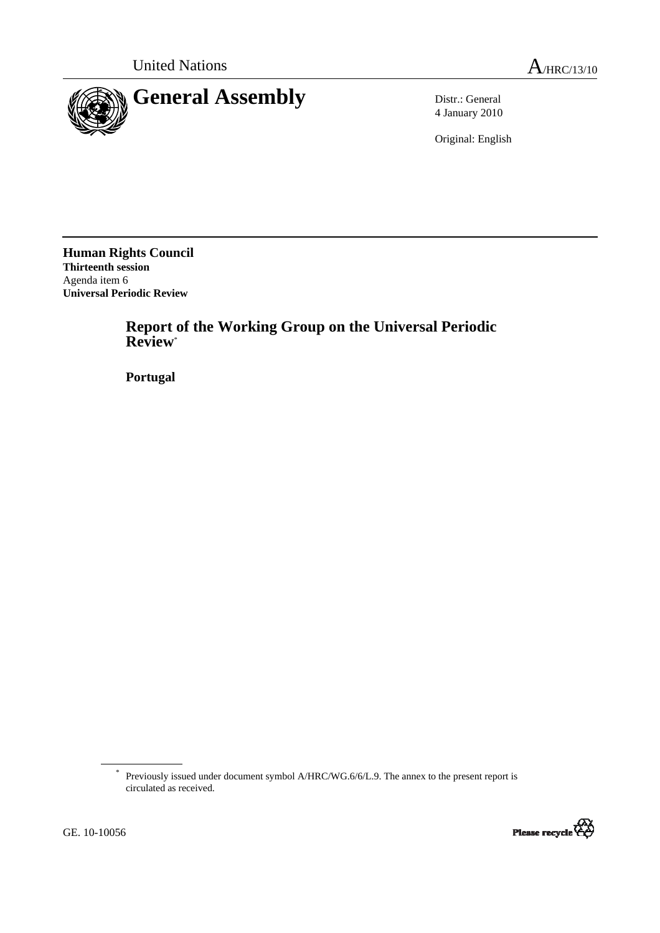

4 January 2010

Original: English

**Human Rights Council Thirteenth session**  Agenda item 6 **Universal Periodic Review** 

> **Report of the Working Group on the Universal Periodic Review**\*

 **Portugal** 

<sup>\*</sup> Previously issued under document symbol A/HRC/WG.6/6/L.9. The annex to the present report is circulated as received.

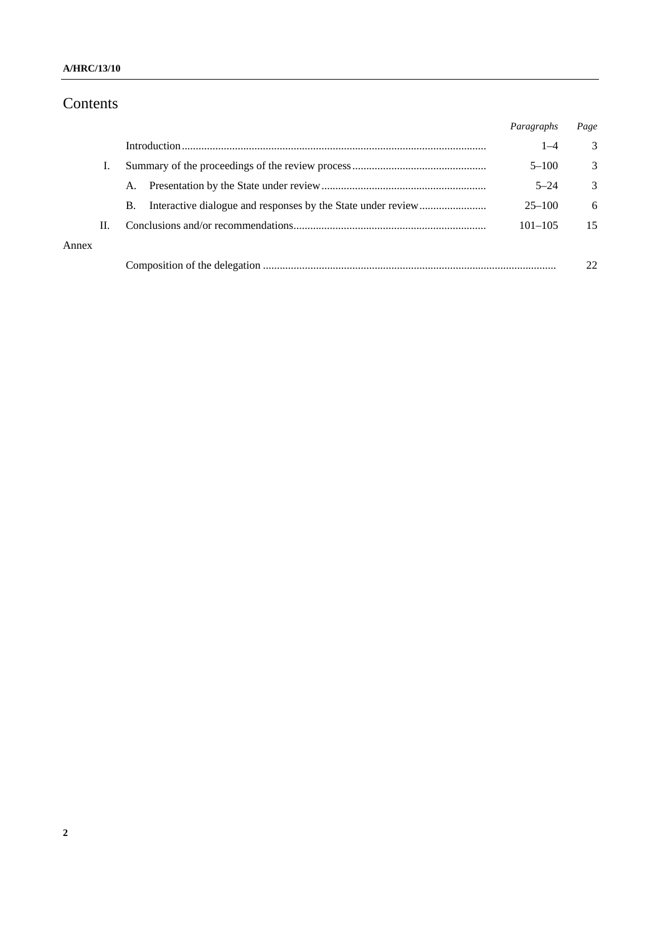### **A/HRC/13/10**

# Contents

|       |    |    | Paragraphs  | Page |
|-------|----|----|-------------|------|
|       |    |    | $1 - 4$     | 3    |
|       |    |    | $5 - 100$   | 3    |
|       |    | A. | $5 - 24$    | 3    |
|       |    | В. | $25 - 100$  | 6    |
|       | П. |    | $101 - 105$ | 15   |
| Annex |    |    |             |      |
|       |    |    |             |      |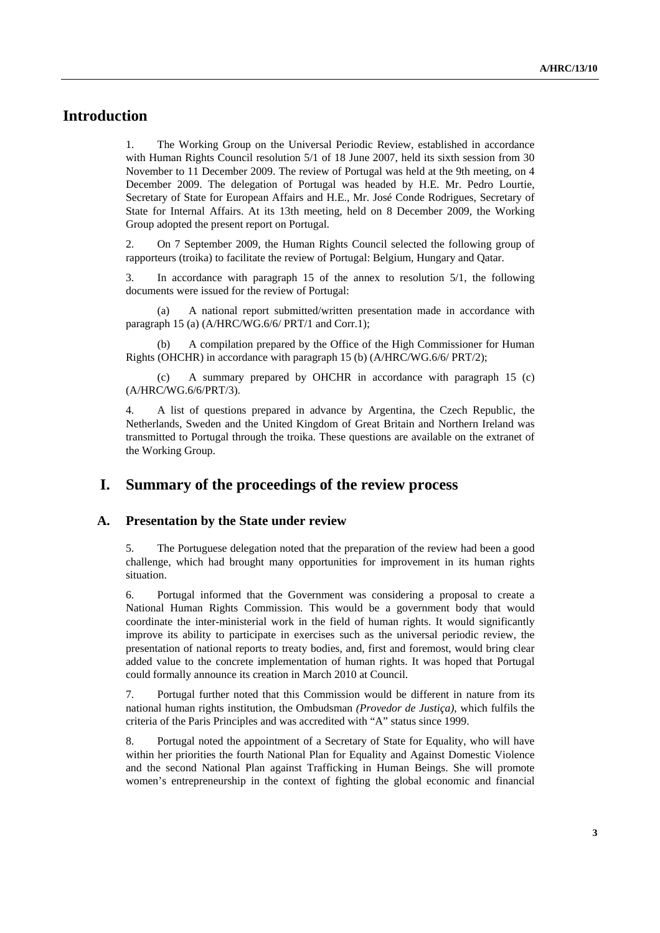# **Introduction**

1. The Working Group on the Universal Periodic Review, established in accordance with Human Rights Council resolution 5/1 of 18 June 2007, held its sixth session from 30 November to 11 December 2009. The review of Portugal was held at the 9th meeting, on 4 December 2009. The delegation of Portugal was headed by H.E. Mr. Pedro Lourtie, Secretary of State for European Affairs and H.E., Mr. José Conde Rodrigues, Secretary of State for Internal Affairs. At its 13th meeting, held on 8 December 2009, the Working Group adopted the present report on Portugal.

2. On 7 September 2009, the Human Rights Council selected the following group of rapporteurs (troika) to facilitate the review of Portugal: Belgium, Hungary and Qatar.

3. In accordance with paragraph 15 of the annex to resolution 5/1, the following documents were issued for the review of Portugal:

 (a) A national report submitted/written presentation made in accordance with paragraph 15 (a) (A/HRC/WG.6/6/ PRT/1 and Corr.1);

A compilation prepared by the Office of the High Commissioner for Human Rights (OHCHR) in accordance with paragraph 15 (b) (A/HRC/WG.6/6/ PRT/2);

 (c) A summary prepared by OHCHR in accordance with paragraph 15 (c) (A/HRC/WG.6/6/PRT/3).

4. A list of questions prepared in advance by Argentina, the Czech Republic, the Netherlands, Sweden and the United Kingdom of Great Britain and Northern Ireland was transmitted to Portugal through the troika. These questions are available on the extranet of the Working Group.

# **I. Summary of the proceedings of the review process**

#### **A. Presentation by the State under review**

5. The Portuguese delegation noted that the preparation of the review had been a good challenge, which had brought many opportunities for improvement in its human rights situation.

6. Portugal informed that the Government was considering a proposal to create a National Human Rights Commission. This would be a government body that would coordinate the inter-ministerial work in the field of human rights. It would significantly improve its ability to participate in exercises such as the universal periodic review, the presentation of national reports to treaty bodies, and, first and foremost, would bring clear added value to the concrete implementation of human rights. It was hoped that Portugal could formally announce its creation in March 2010 at Council.

7. Portugal further noted that this Commission would be different in nature from its national human rights institution, the Ombudsman *(Provedor de Justiça)*, which fulfils the criteria of the Paris Principles and was accredited with "A" status since 1999.

8. Portugal noted the appointment of a Secretary of State for Equality, who will have within her priorities the fourth National Plan for Equality and Against Domestic Violence and the second National Plan against Trafficking in Human Beings. She will promote women's entrepreneurship in the context of fighting the global economic and financial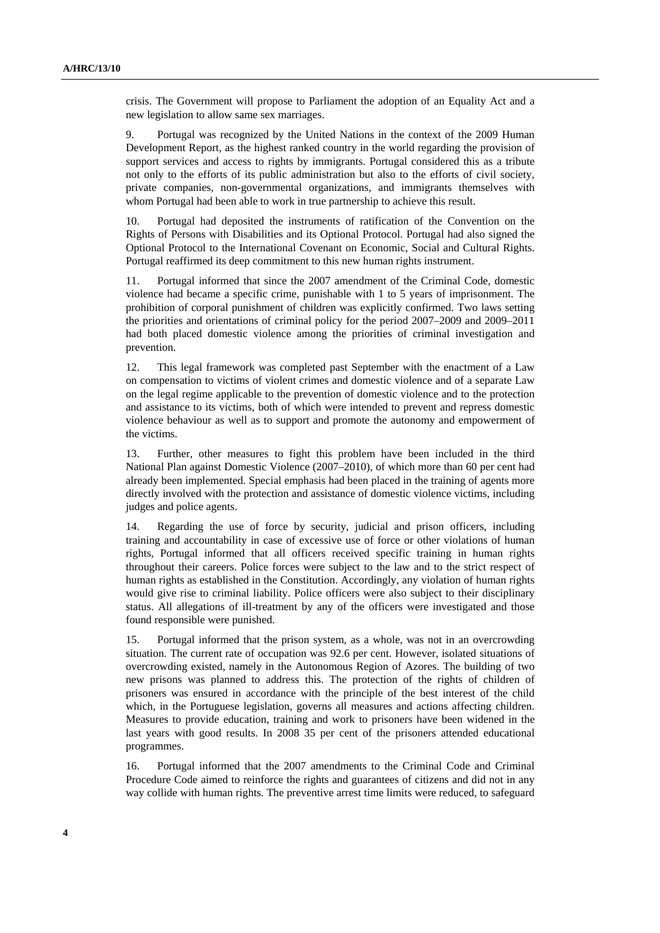crisis. The Government will propose to Parliament the adoption of an Equality Act and a new legislation to allow same sex marriages.

9. Portugal was recognized by the United Nations in the context of the 2009 Human Development Report, as the highest ranked country in the world regarding the provision of support services and access to rights by immigrants. Portugal considered this as a tribute not only to the efforts of its public administration but also to the efforts of civil society, private companies, non-governmental organizations, and immigrants themselves with whom Portugal had been able to work in true partnership to achieve this result.

10. Portugal had deposited the instruments of ratification of the Convention on the Rights of Persons with Disabilities and its Optional Protocol. Portugal had also signed the Optional Protocol to the International Covenant on Economic, Social and Cultural Rights. Portugal reaffirmed its deep commitment to this new human rights instrument.

11. Portugal informed that since the 2007 amendment of the Criminal Code, domestic violence had became a specific crime, punishable with 1 to 5 years of imprisonment. The prohibition of corporal punishment of children was explicitly confirmed. Two laws setting the priorities and orientations of criminal policy for the period 2007–2009 and 2009–2011 had both placed domestic violence among the priorities of criminal investigation and prevention.

12. This legal framework was completed past September with the enactment of a Law on compensation to victims of violent crimes and domestic violence and of a separate Law on the legal regime applicable to the prevention of domestic violence and to the protection and assistance to its victims, both of which were intended to prevent and repress domestic violence behaviour as well as to support and promote the autonomy and empowerment of the victims.

13. Further, other measures to fight this problem have been included in the third National Plan against Domestic Violence (2007–2010), of which more than 60 per cent had already been implemented. Special emphasis had been placed in the training of agents more directly involved with the protection and assistance of domestic violence victims, including judges and police agents.

14. Regarding the use of force by security, judicial and prison officers, including training and accountability in case of excessive use of force or other violations of human rights, Portugal informed that all officers received specific training in human rights throughout their careers. Police forces were subject to the law and to the strict respect of human rights as established in the Constitution. Accordingly, any violation of human rights would give rise to criminal liability. Police officers were also subject to their disciplinary status. All allegations of ill-treatment by any of the officers were investigated and those found responsible were punished.

15. Portugal informed that the prison system, as a whole, was not in an overcrowding situation. The current rate of occupation was 92.6 per cent. However, isolated situations of overcrowding existed, namely in the Autonomous Region of Azores. The building of two new prisons was planned to address this. The protection of the rights of children of prisoners was ensured in accordance with the principle of the best interest of the child which, in the Portuguese legislation, governs all measures and actions affecting children. Measures to provide education, training and work to prisoners have been widened in the last years with good results. In 2008 35 per cent of the prisoners attended educational programmes.

16. Portugal informed that the 2007 amendments to the Criminal Code and Criminal Procedure Code aimed to reinforce the rights and guarantees of citizens and did not in any way collide with human rights. The preventive arrest time limits were reduced, to safeguard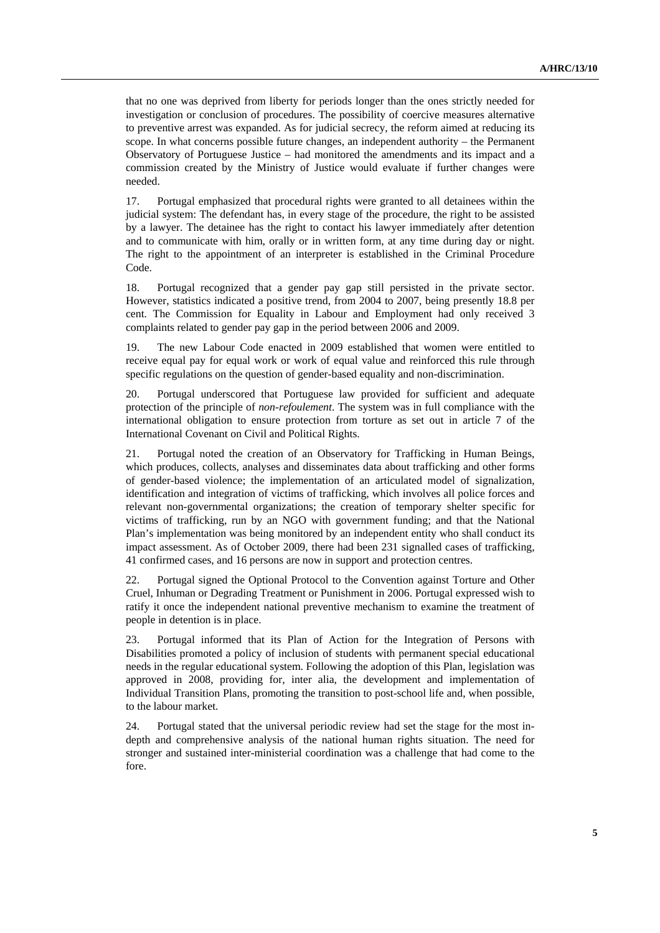that no one was deprived from liberty for periods longer than the ones strictly needed for investigation or conclusion of procedures. The possibility of coercive measures alternative to preventive arrest was expanded. As for judicial secrecy, the reform aimed at reducing its scope. In what concerns possible future changes, an independent authority – the Permanent Observatory of Portuguese Justice – had monitored the amendments and its impact and a commission created by the Ministry of Justice would evaluate if further changes were needed.

17. Portugal emphasized that procedural rights were granted to all detainees within the judicial system: The defendant has, in every stage of the procedure, the right to be assisted by a lawyer. The detainee has the right to contact his lawyer immediately after detention and to communicate with him, orally or in written form, at any time during day or night. The right to the appointment of an interpreter is established in the Criminal Procedure Code.

18. Portugal recognized that a gender pay gap still persisted in the private sector. However, statistics indicated a positive trend, from 2004 to 2007, being presently 18.8 per cent. The Commission for Equality in Labour and Employment had only received 3 complaints related to gender pay gap in the period between 2006 and 2009.

19. The new Labour Code enacted in 2009 established that women were entitled to receive equal pay for equal work or work of equal value and reinforced this rule through specific regulations on the question of gender-based equality and non-discrimination.

20. Portugal underscored that Portuguese law provided for sufficient and adequate protection of the principle of *non-refoulement*. The system was in full compliance with the international obligation to ensure protection from torture as set out in article 7 of the International Covenant on Civil and Political Rights.

21. Portugal noted the creation of an Observatory for Trafficking in Human Beings, which produces, collects, analyses and disseminates data about trafficking and other forms of gender-based violence; the implementation of an articulated model of signalization, identification and integration of victims of trafficking, which involves all police forces and relevant non-governmental organizations; the creation of temporary shelter specific for victims of trafficking, run by an NGO with government funding; and that the National Plan's implementation was being monitored by an independent entity who shall conduct its impact assessment. As of October 2009, there had been 231 signalled cases of trafficking, 41 confirmed cases, and 16 persons are now in support and protection centres.

22. Portugal signed the Optional Protocol to the Convention against Torture and Other Cruel, Inhuman or Degrading Treatment or Punishment in 2006. Portugal expressed wish to ratify it once the independent national preventive mechanism to examine the treatment of people in detention is in place.

23. Portugal informed that its Plan of Action for the Integration of Persons with Disabilities promoted a policy of inclusion of students with permanent special educational needs in the regular educational system. Following the adoption of this Plan, legislation was approved in 2008, providing for, inter alia, the development and implementation of Individual Transition Plans, promoting the transition to post-school life and, when possible, to the labour market.

24. Portugal stated that the universal periodic review had set the stage for the most indepth and comprehensive analysis of the national human rights situation. The need for stronger and sustained inter-ministerial coordination was a challenge that had come to the fore.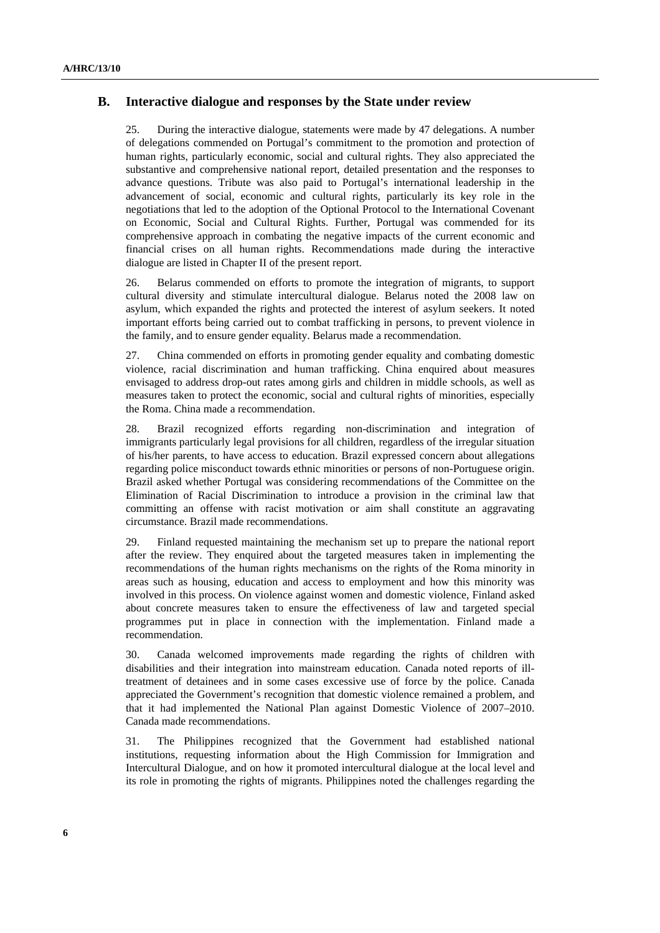### **B. Interactive dialogue and responses by the State under review**

25. During the interactive dialogue, statements were made by 47 delegations. A number of delegations commended on Portugal's commitment to the promotion and protection of human rights, particularly economic, social and cultural rights. They also appreciated the substantive and comprehensive national report, detailed presentation and the responses to advance questions. Tribute was also paid to Portugal's international leadership in the advancement of social, economic and cultural rights, particularly its key role in the negotiations that led to the adoption of the Optional Protocol to the International Covenant on Economic, Social and Cultural Rights. Further, Portugal was commended for its comprehensive approach in combating the negative impacts of the current economic and financial crises on all human rights. Recommendations made during the interactive dialogue are listed in Chapter II of the present report.

26. Belarus commended on efforts to promote the integration of migrants, to support cultural diversity and stimulate intercultural dialogue. Belarus noted the 2008 law on asylum, which expanded the rights and protected the interest of asylum seekers. It noted important efforts being carried out to combat trafficking in persons, to prevent violence in the family, and to ensure gender equality. Belarus made a recommendation.

27. China commended on efforts in promoting gender equality and combating domestic violence, racial discrimination and human trafficking. China enquired about measures envisaged to address drop-out rates among girls and children in middle schools, as well as measures taken to protect the economic, social and cultural rights of minorities, especially the Roma. China made a recommendation.

28. Brazil recognized efforts regarding non-discrimination and integration of immigrants particularly legal provisions for all children, regardless of the irregular situation of his/her parents, to have access to education. Brazil expressed concern about allegations regarding police misconduct towards ethnic minorities or persons of non-Portuguese origin. Brazil asked whether Portugal was considering recommendations of the Committee on the Elimination of Racial Discrimination to introduce a provision in the criminal law that committing an offense with racist motivation or aim shall constitute an aggravating circumstance. Brazil made recommendations.

29. Finland requested maintaining the mechanism set up to prepare the national report after the review. They enquired about the targeted measures taken in implementing the recommendations of the human rights mechanisms on the rights of the Roma minority in areas such as housing, education and access to employment and how this minority was involved in this process. On violence against women and domestic violence, Finland asked about concrete measures taken to ensure the effectiveness of law and targeted special programmes put in place in connection with the implementation. Finland made a recommendation.

30. Canada welcomed improvements made regarding the rights of children with disabilities and their integration into mainstream education. Canada noted reports of illtreatment of detainees and in some cases excessive use of force by the police. Canada appreciated the Government's recognition that domestic violence remained a problem, and that it had implemented the National Plan against Domestic Violence of 2007–2010. Canada made recommendations.

31. The Philippines recognized that the Government had established national institutions, requesting information about the High Commission for Immigration and Intercultural Dialogue, and on how it promoted intercultural dialogue at the local level and its role in promoting the rights of migrants. Philippines noted the challenges regarding the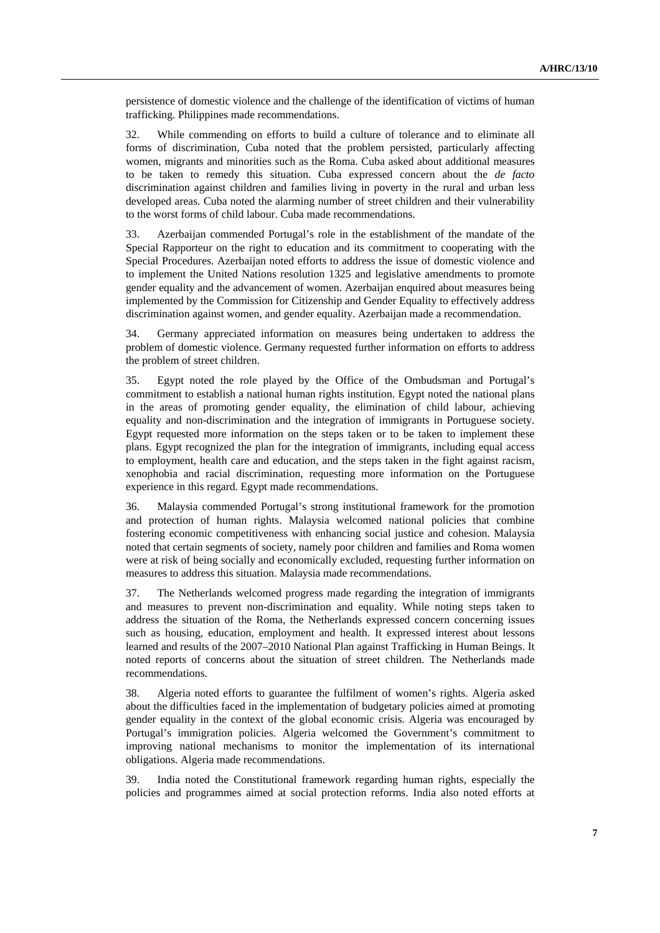persistence of domestic violence and the challenge of the identification of victims of human trafficking. Philippines made recommendations.

32. While commending on efforts to build a culture of tolerance and to eliminate all forms of discrimination, Cuba noted that the problem persisted, particularly affecting women, migrants and minorities such as the Roma. Cuba asked about additional measures to be taken to remedy this situation. Cuba expressed concern about the *de facto* discrimination against children and families living in poverty in the rural and urban less developed areas. Cuba noted the alarming number of street children and their vulnerability to the worst forms of child labour. Cuba made recommendations.

33. Azerbaijan commended Portugal's role in the establishment of the mandate of the Special Rapporteur on the right to education and its commitment to cooperating with the Special Procedures. Azerbaijan noted efforts to address the issue of domestic violence and to implement the United Nations resolution 1325 and legislative amendments to promote gender equality and the advancement of women. Azerbaijan enquired about measures being implemented by the Commission for Citizenship and Gender Equality to effectively address discrimination against women, and gender equality. Azerbaijan made a recommendation.

34. Germany appreciated information on measures being undertaken to address the problem of domestic violence. Germany requested further information on efforts to address the problem of street children.

35. Egypt noted the role played by the Office of the Ombudsman and Portugal's commitment to establish a national human rights institution. Egypt noted the national plans in the areas of promoting gender equality, the elimination of child labour, achieving equality and non-discrimination and the integration of immigrants in Portuguese society. Egypt requested more information on the steps taken or to be taken to implement these plans. Egypt recognized the plan for the integration of immigrants, including equal access to employment, health care and education, and the steps taken in the fight against racism, xenophobia and racial discrimination, requesting more information on the Portuguese experience in this regard. Egypt made recommendations.

36. Malaysia commended Portugal's strong institutional framework for the promotion and protection of human rights. Malaysia welcomed national policies that combine fostering economic competitiveness with enhancing social justice and cohesion. Malaysia noted that certain segments of society, namely poor children and families and Roma women were at risk of being socially and economically excluded, requesting further information on measures to address this situation. Malaysia made recommendations.

37. The Netherlands welcomed progress made regarding the integration of immigrants and measures to prevent non-discrimination and equality. While noting steps taken to address the situation of the Roma, the Netherlands expressed concern concerning issues such as housing, education, employment and health. It expressed interest about lessons learned and results of the 2007–2010 National Plan against Trafficking in Human Beings. It noted reports of concerns about the situation of street children. The Netherlands made recommendations.

38. Algeria noted efforts to guarantee the fulfilment of women's rights. Algeria asked about the difficulties faced in the implementation of budgetary policies aimed at promoting gender equality in the context of the global economic crisis. Algeria was encouraged by Portugal's immigration policies. Algeria welcomed the Government's commitment to improving national mechanisms to monitor the implementation of its international obligations. Algeria made recommendations.

39. India noted the Constitutional framework regarding human rights, especially the policies and programmes aimed at social protection reforms. India also noted efforts at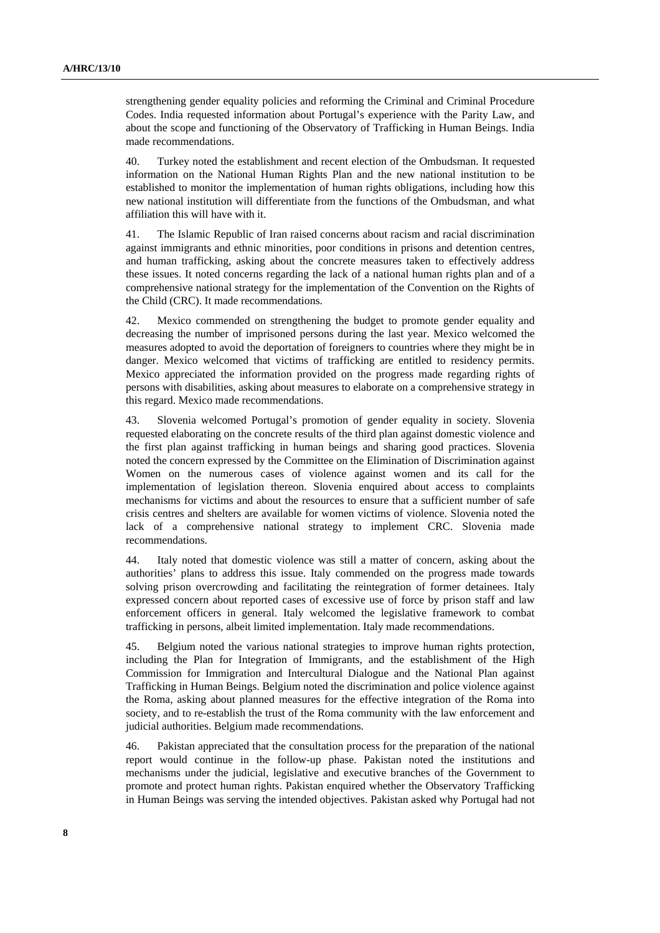strengthening gender equality policies and reforming the Criminal and Criminal Procedure Codes. India requested information about Portugal's experience with the Parity Law, and about the scope and functioning of the Observatory of Trafficking in Human Beings. India made recommendations.

40. Turkey noted the establishment and recent election of the Ombudsman. It requested information on the National Human Rights Plan and the new national institution to be established to monitor the implementation of human rights obligations, including how this new national institution will differentiate from the functions of the Ombudsman, and what affiliation this will have with it.

41. The Islamic Republic of Iran raised concerns about racism and racial discrimination against immigrants and ethnic minorities, poor conditions in prisons and detention centres, and human trafficking, asking about the concrete measures taken to effectively address these issues. It noted concerns regarding the lack of a national human rights plan and of a comprehensive national strategy for the implementation of the Convention on the Rights of the Child (CRC). It made recommendations.

42. Mexico commended on strengthening the budget to promote gender equality and decreasing the number of imprisoned persons during the last year. Mexico welcomed the measures adopted to avoid the deportation of foreigners to countries where they might be in danger. Mexico welcomed that victims of trafficking are entitled to residency permits. Mexico appreciated the information provided on the progress made regarding rights of persons with disabilities, asking about measures to elaborate on a comprehensive strategy in this regard. Mexico made recommendations.

43. Slovenia welcomed Portugal's promotion of gender equality in society. Slovenia requested elaborating on the concrete results of the third plan against domestic violence and the first plan against trafficking in human beings and sharing good practices. Slovenia noted the concern expressed by the Committee on the Elimination of Discrimination against Women on the numerous cases of violence against women and its call for the implementation of legislation thereon. Slovenia enquired about access to complaints mechanisms for victims and about the resources to ensure that a sufficient number of safe crisis centres and shelters are available for women victims of violence. Slovenia noted the lack of a comprehensive national strategy to implement CRC. Slovenia made recommendations.

44. Italy noted that domestic violence was still a matter of concern, asking about the authorities' plans to address this issue. Italy commended on the progress made towards solving prison overcrowding and facilitating the reintegration of former detainees. Italy expressed concern about reported cases of excessive use of force by prison staff and law enforcement officers in general. Italy welcomed the legislative framework to combat trafficking in persons, albeit limited implementation. Italy made recommendations.

45. Belgium noted the various national strategies to improve human rights protection, including the Plan for Integration of Immigrants, and the establishment of the High Commission for Immigration and Intercultural Dialogue and the National Plan against Trafficking in Human Beings. Belgium noted the discrimination and police violence against the Roma, asking about planned measures for the effective integration of the Roma into society, and to re-establish the trust of the Roma community with the law enforcement and judicial authorities. Belgium made recommendations.

46. Pakistan appreciated that the consultation process for the preparation of the national report would continue in the follow-up phase. Pakistan noted the institutions and mechanisms under the judicial, legislative and executive branches of the Government to promote and protect human rights. Pakistan enquired whether the Observatory Trafficking in Human Beings was serving the intended objectives. Pakistan asked why Portugal had not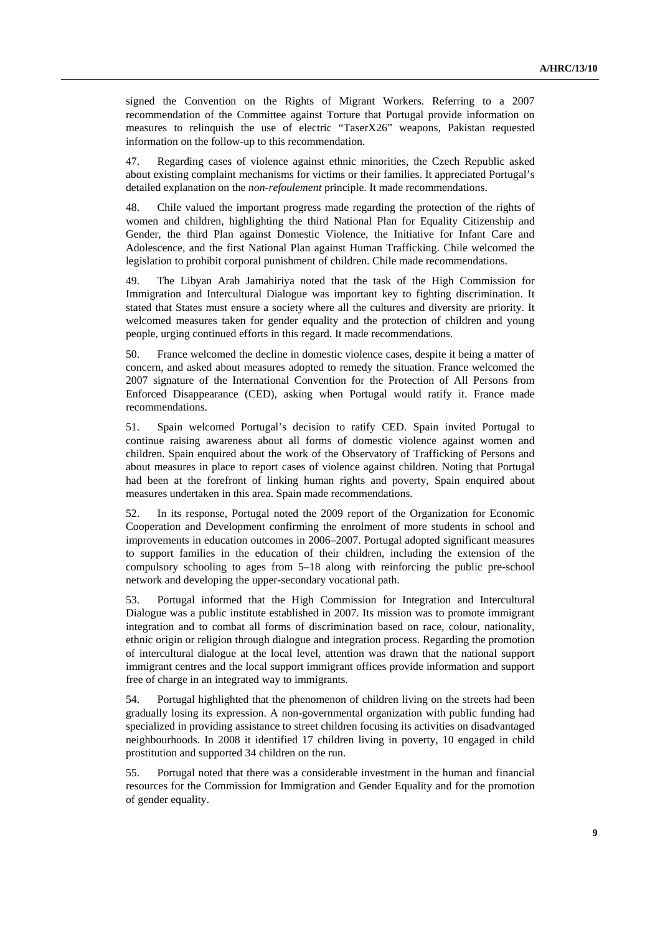signed the Convention on the Rights of Migrant Workers. Referring to a 2007 recommendation of the Committee against Torture that Portugal provide information on measures to relinquish the use of electric "TaserX26" weapons, Pakistan requested information on the follow-up to this recommendation.

47. Regarding cases of violence against ethnic minorities, the Czech Republic asked about existing complaint mechanisms for victims or their families. It appreciated Portugal's detailed explanation on the *non-refoulement* principle. It made recommendations.

48. Chile valued the important progress made regarding the protection of the rights of women and children, highlighting the third National Plan for Equality Citizenship and Gender, the third Plan against Domestic Violence, the Initiative for Infant Care and Adolescence, and the first National Plan against Human Trafficking. Chile welcomed the legislation to prohibit corporal punishment of children. Chile made recommendations.

49. The Libyan Arab Jamahiriya noted that the task of the High Commission for Immigration and Intercultural Dialogue was important key to fighting discrimination. It stated that States must ensure a society where all the cultures and diversity are priority. It welcomed measures taken for gender equality and the protection of children and young people, urging continued efforts in this regard. It made recommendations.

50. France welcomed the decline in domestic violence cases, despite it being a matter of concern, and asked about measures adopted to remedy the situation. France welcomed the 2007 signature of the International Convention for the Protection of All Persons from Enforced Disappearance (CED), asking when Portugal would ratify it. France made recommendations.

51. Spain welcomed Portugal's decision to ratify CED. Spain invited Portugal to continue raising awareness about all forms of domestic violence against women and children. Spain enquired about the work of the Observatory of Trafficking of Persons and about measures in place to report cases of violence against children. Noting that Portugal had been at the forefront of linking human rights and poverty, Spain enquired about measures undertaken in this area. Spain made recommendations.

52. In its response, Portugal noted the 2009 report of the Organization for Economic Cooperation and Development confirming the enrolment of more students in school and improvements in education outcomes in 2006–2007. Portugal adopted significant measures to support families in the education of their children, including the extension of the compulsory schooling to ages from 5–18 along with reinforcing the public pre-school network and developing the upper-secondary vocational path.

53. Portugal informed that the High Commission for Integration and Intercultural Dialogue was a public institute established in 2007. Its mission was to promote immigrant integration and to combat all forms of discrimination based on race, colour, nationality, ethnic origin or religion through dialogue and integration process. Regarding the promotion of intercultural dialogue at the local level, attention was drawn that the national support immigrant centres and the local support immigrant offices provide information and support free of charge in an integrated way to immigrants.

54. Portugal highlighted that the phenomenon of children living on the streets had been gradually losing its expression. A non-governmental organization with public funding had specialized in providing assistance to street children focusing its activities on disadvantaged neighbourhoods. In 2008 it identified 17 children living in poverty, 10 engaged in child prostitution and supported 34 children on the run.

55. Portugal noted that there was a considerable investment in the human and financial resources for the Commission for Immigration and Gender Equality and for the promotion of gender equality.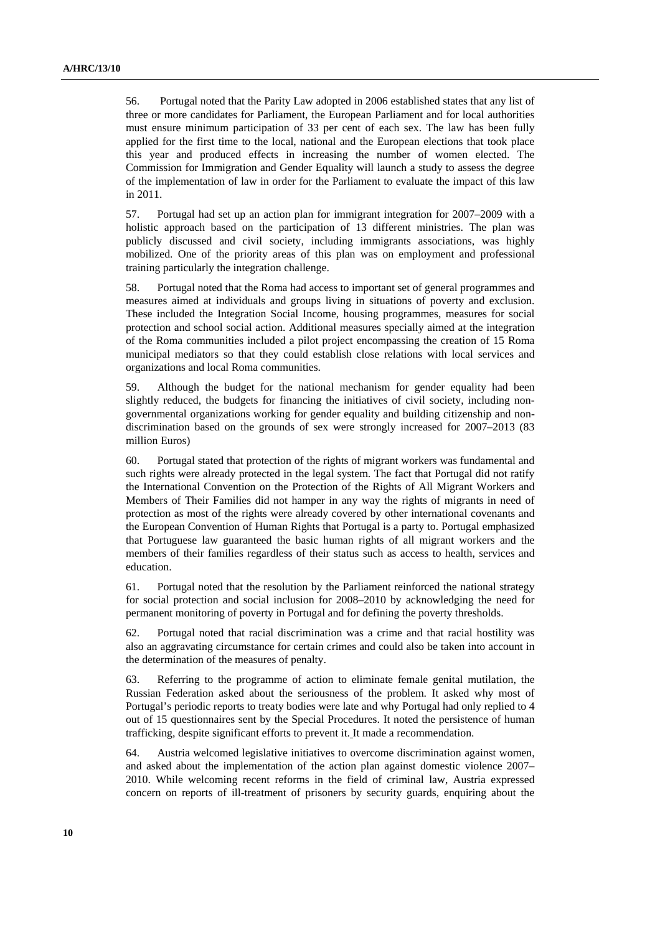56. Portugal noted that the Parity Law adopted in 2006 established states that any list of three or more candidates for Parliament, the European Parliament and for local authorities must ensure minimum participation of 33 per cent of each sex. The law has been fully applied for the first time to the local, national and the European elections that took place this year and produced effects in increasing the number of women elected. The Commission for Immigration and Gender Equality will launch a study to assess the degree of the implementation of law in order for the Parliament to evaluate the impact of this law in 2011.

57. Portugal had set up an action plan for immigrant integration for 2007–2009 with a holistic approach based on the participation of 13 different ministries. The plan was publicly discussed and civil society, including immigrants associations, was highly mobilized. One of the priority areas of this plan was on employment and professional training particularly the integration challenge.

58. Portugal noted that the Roma had access to important set of general programmes and measures aimed at individuals and groups living in situations of poverty and exclusion. These included the Integration Social Income, housing programmes, measures for social protection and school social action. Additional measures specially aimed at the integration of the Roma communities included a pilot project encompassing the creation of 15 Roma municipal mediators so that they could establish close relations with local services and organizations and local Roma communities.

59. Although the budget for the national mechanism for gender equality had been slightly reduced, the budgets for financing the initiatives of civil society, including nongovernmental organizations working for gender equality and building citizenship and nondiscrimination based on the grounds of sex were strongly increased for 2007–2013 (83 million Euros)

60. Portugal stated that protection of the rights of migrant workers was fundamental and such rights were already protected in the legal system. The fact that Portugal did not ratify the International Convention on the Protection of the Rights of All Migrant Workers and Members of Their Families did not hamper in any way the rights of migrants in need of protection as most of the rights were already covered by other international covenants and the European Convention of Human Rights that Portugal is a party to. Portugal emphasized that Portuguese law guaranteed the basic human rights of all migrant workers and the members of their families regardless of their status such as access to health, services and education.

61. Portugal noted that the resolution by the Parliament reinforced the national strategy for social protection and social inclusion for 2008–2010 by acknowledging the need for permanent monitoring of poverty in Portugal and for defining the poverty thresholds.

62. Portugal noted that racial discrimination was a crime and that racial hostility was also an aggravating circumstance for certain crimes and could also be taken into account in the determination of the measures of penalty.

63. Referring to the programme of action to eliminate female genital mutilation, the Russian Federation asked about the seriousness of the problem. It asked why most of Portugal's periodic reports to treaty bodies were late and why Portugal had only replied to 4 out of 15 questionnaires sent by the Special Procedures. It noted the persistence of human trafficking, despite significant efforts to prevent it. It made a recommendation.

64. Austria welcomed legislative initiatives to overcome discrimination against women, and asked about the implementation of the action plan against domestic violence 2007– 2010. While welcoming recent reforms in the field of criminal law, Austria expressed concern on reports of ill-treatment of prisoners by security guards, enquiring about the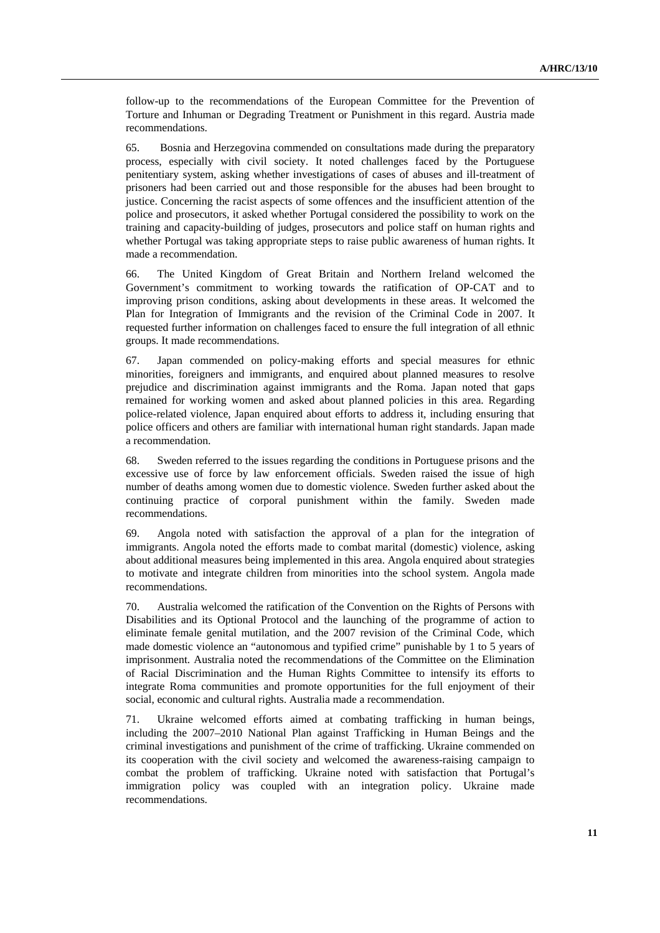follow-up to the recommendations of the European Committee for the Prevention of Torture and Inhuman or Degrading Treatment or Punishment in this regard. Austria made recommendations.

65. Bosnia and Herzegovina commended on consultations made during the preparatory process, especially with civil society. It noted challenges faced by the Portuguese penitentiary system, asking whether investigations of cases of abuses and ill-treatment of prisoners had been carried out and those responsible for the abuses had been brought to justice. Concerning the racist aspects of some offences and the insufficient attention of the police and prosecutors, it asked whether Portugal considered the possibility to work on the training and capacity-building of judges, prosecutors and police staff on human rights and whether Portugal was taking appropriate steps to raise public awareness of human rights. It made a recommendation.

66. The United Kingdom of Great Britain and Northern Ireland welcomed the Government's commitment to working towards the ratification of OP-CAT and to improving prison conditions, asking about developments in these areas. It welcomed the Plan for Integration of Immigrants and the revision of the Criminal Code in 2007. It requested further information on challenges faced to ensure the full integration of all ethnic groups. It made recommendations.

67. Japan commended on policy-making efforts and special measures for ethnic minorities, foreigners and immigrants, and enquired about planned measures to resolve prejudice and discrimination against immigrants and the Roma. Japan noted that gaps remained for working women and asked about planned policies in this area. Regarding police-related violence, Japan enquired about efforts to address it, including ensuring that police officers and others are familiar with international human right standards. Japan made a recommendation.

68. Sweden referred to the issues regarding the conditions in Portuguese prisons and the excessive use of force by law enforcement officials. Sweden raised the issue of high number of deaths among women due to domestic violence. Sweden further asked about the continuing practice of corporal punishment within the family. Sweden made recommendations.

69. Angola noted with satisfaction the approval of a plan for the integration of immigrants. Angola noted the efforts made to combat marital (domestic) violence, asking about additional measures being implemented in this area. Angola enquired about strategies to motivate and integrate children from minorities into the school system. Angola made recommendations.

70. Australia welcomed the ratification of the Convention on the Rights of Persons with Disabilities and its Optional Protocol and the launching of the programme of action to eliminate female genital mutilation, and the 2007 revision of the Criminal Code, which made domestic violence an "autonomous and typified crime" punishable by 1 to 5 years of imprisonment. Australia noted the recommendations of the Committee on the Elimination of Racial Discrimination and the Human Rights Committee to intensify its efforts to integrate Roma communities and promote opportunities for the full enjoyment of their social, economic and cultural rights. Australia made a recommendation.

71. Ukraine welcomed efforts aimed at combating trafficking in human beings, including the 2007–2010 National Plan against Trafficking in Human Beings and the criminal investigations and punishment of the crime of trafficking. Ukraine commended on its cooperation with the civil society and welcomed the awareness-raising campaign to combat the problem of trafficking. Ukraine noted with satisfaction that Portugal's immigration policy was coupled with an integration policy. Ukraine made recommendations.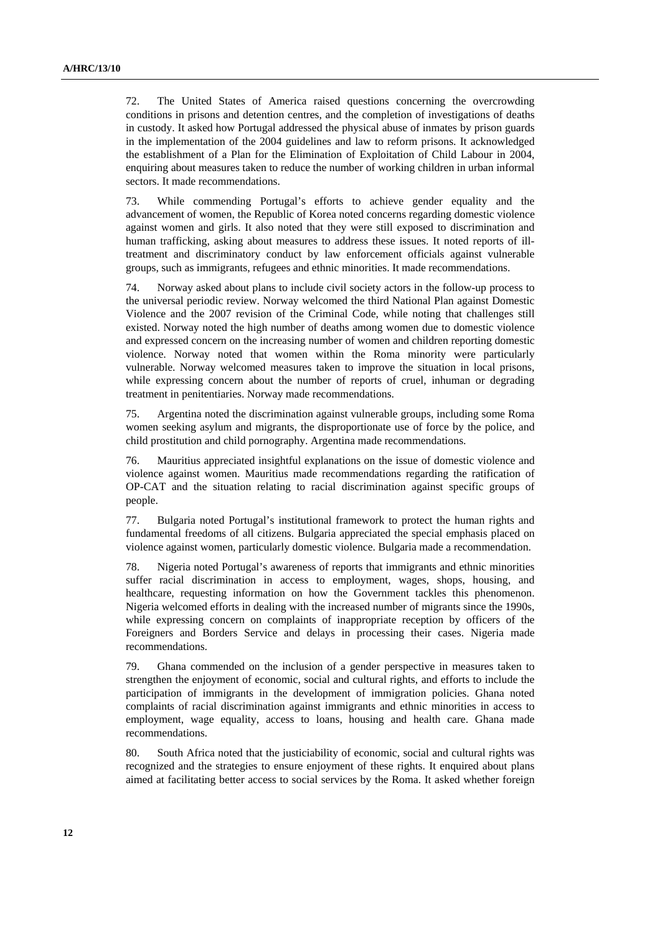72. The United States of America raised questions concerning the overcrowding conditions in prisons and detention centres, and the completion of investigations of deaths in custody. It asked how Portugal addressed the physical abuse of inmates by prison guards in the implementation of the 2004 guidelines and law to reform prisons. It acknowledged the establishment of a Plan for the Elimination of Exploitation of Child Labour in 2004, enquiring about measures taken to reduce the number of working children in urban informal sectors. It made recommendations.

73. While commending Portugal's efforts to achieve gender equality and the advancement of women, the Republic of Korea noted concerns regarding domestic violence against women and girls. It also noted that they were still exposed to discrimination and human trafficking, asking about measures to address these issues. It noted reports of illtreatment and discriminatory conduct by law enforcement officials against vulnerable groups, such as immigrants, refugees and ethnic minorities. It made recommendations.

74. Norway asked about plans to include civil society actors in the follow-up process to the universal periodic review. Norway welcomed the third National Plan against Domestic Violence and the 2007 revision of the Criminal Code, while noting that challenges still existed. Norway noted the high number of deaths among women due to domestic violence and expressed concern on the increasing number of women and children reporting domestic violence. Norway noted that women within the Roma minority were particularly vulnerable. Norway welcomed measures taken to improve the situation in local prisons, while expressing concern about the number of reports of cruel, inhuman or degrading treatment in penitentiaries. Norway made recommendations.

75. Argentina noted the discrimination against vulnerable groups, including some Roma women seeking asylum and migrants, the disproportionate use of force by the police, and child prostitution and child pornography. Argentina made recommendations.

76. Mauritius appreciated insightful explanations on the issue of domestic violence and violence against women. Mauritius made recommendations regarding the ratification of OP-CAT and the situation relating to racial discrimination against specific groups of people.

77. Bulgaria noted Portugal's institutional framework to protect the human rights and fundamental freedoms of all citizens. Bulgaria appreciated the special emphasis placed on violence against women, particularly domestic violence. Bulgaria made a recommendation.

78. Nigeria noted Portugal's awareness of reports that immigrants and ethnic minorities suffer racial discrimination in access to employment, wages, shops, housing, and healthcare, requesting information on how the Government tackles this phenomenon. Nigeria welcomed efforts in dealing with the increased number of migrants since the 1990s, while expressing concern on complaints of inappropriate reception by officers of the Foreigners and Borders Service and delays in processing their cases. Nigeria made recommendations.

79. Ghana commended on the inclusion of a gender perspective in measures taken to strengthen the enjoyment of economic, social and cultural rights, and efforts to include the participation of immigrants in the development of immigration policies. Ghana noted complaints of racial discrimination against immigrants and ethnic minorities in access to employment, wage equality, access to loans, housing and health care. Ghana made recommendations.

80. South Africa noted that the justiciability of economic, social and cultural rights was recognized and the strategies to ensure enjoyment of these rights. It enquired about plans aimed at facilitating better access to social services by the Roma. It asked whether foreign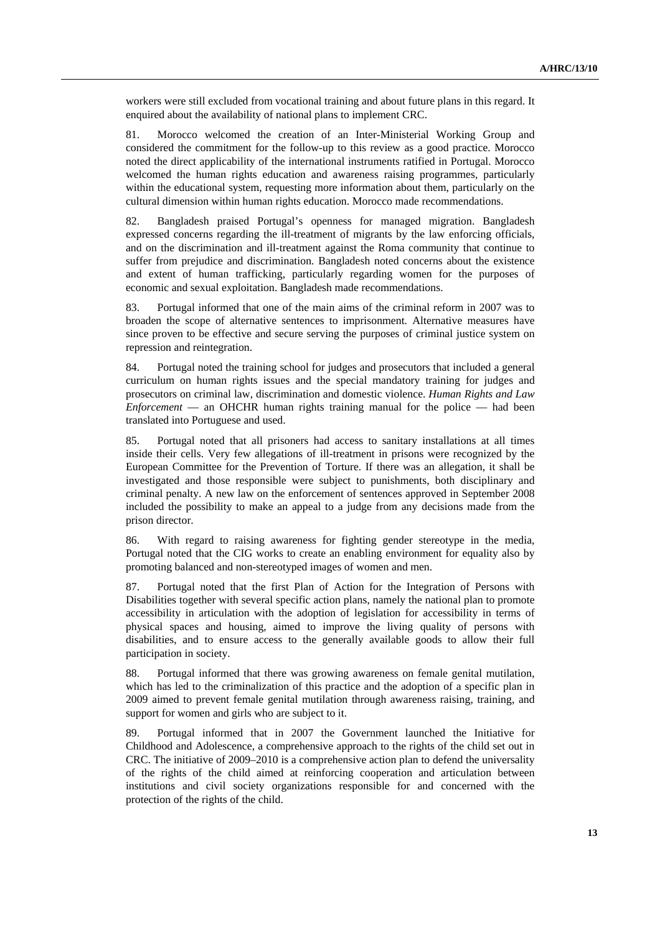workers were still excluded from vocational training and about future plans in this regard. It enquired about the availability of national plans to implement CRC.

81. Morocco welcomed the creation of an Inter-Ministerial Working Group and considered the commitment for the follow-up to this review as a good practice. Morocco noted the direct applicability of the international instruments ratified in Portugal. Morocco welcomed the human rights education and awareness raising programmes, particularly within the educational system, requesting more information about them, particularly on the cultural dimension within human rights education. Morocco made recommendations.

82. Bangladesh praised Portugal's openness for managed migration. Bangladesh expressed concerns regarding the ill-treatment of migrants by the law enforcing officials, and on the discrimination and ill-treatment against the Roma community that continue to suffer from prejudice and discrimination. Bangladesh noted concerns about the existence and extent of human trafficking, particularly regarding women for the purposes of economic and sexual exploitation. Bangladesh made recommendations.

83. Portugal informed that one of the main aims of the criminal reform in 2007 was to broaden the scope of alternative sentences to imprisonment. Alternative measures have since proven to be effective and secure serving the purposes of criminal justice system on repression and reintegration.

84. Portugal noted the training school for judges and prosecutors that included a general curriculum on human rights issues and the special mandatory training for judges and prosecutors on criminal law, discrimination and domestic violence. *Human Rights and Law Enforcement* — an OHCHR human rights training manual for the police — had been translated into Portuguese and used.

85. Portugal noted that all prisoners had access to sanitary installations at all times inside their cells. Very few allegations of ill-treatment in prisons were recognized by the European Committee for the Prevention of Torture. If there was an allegation, it shall be investigated and those responsible were subject to punishments, both disciplinary and criminal penalty. A new law on the enforcement of sentences approved in September 2008 included the possibility to make an appeal to a judge from any decisions made from the prison director.

86. With regard to raising awareness for fighting gender stereotype in the media, Portugal noted that the CIG works to create an enabling environment for equality also by promoting balanced and non-stereotyped images of women and men.

87. Portugal noted that the first Plan of Action for the Integration of Persons with Disabilities together with several specific action plans, namely the national plan to promote accessibility in articulation with the adoption of legislation for accessibility in terms of physical spaces and housing, aimed to improve the living quality of persons with disabilities, and to ensure access to the generally available goods to allow their full participation in society.

88. Portugal informed that there was growing awareness on female genital mutilation, which has led to the criminalization of this practice and the adoption of a specific plan in 2009 aimed to prevent female genital mutilation through awareness raising, training, and support for women and girls who are subject to it.

89. Portugal informed that in 2007 the Government launched the Initiative for Childhood and Adolescence, a comprehensive approach to the rights of the child set out in CRC. The initiative of 2009–2010 is a comprehensive action plan to defend the universality of the rights of the child aimed at reinforcing cooperation and articulation between institutions and civil society organizations responsible for and concerned with the protection of the rights of the child.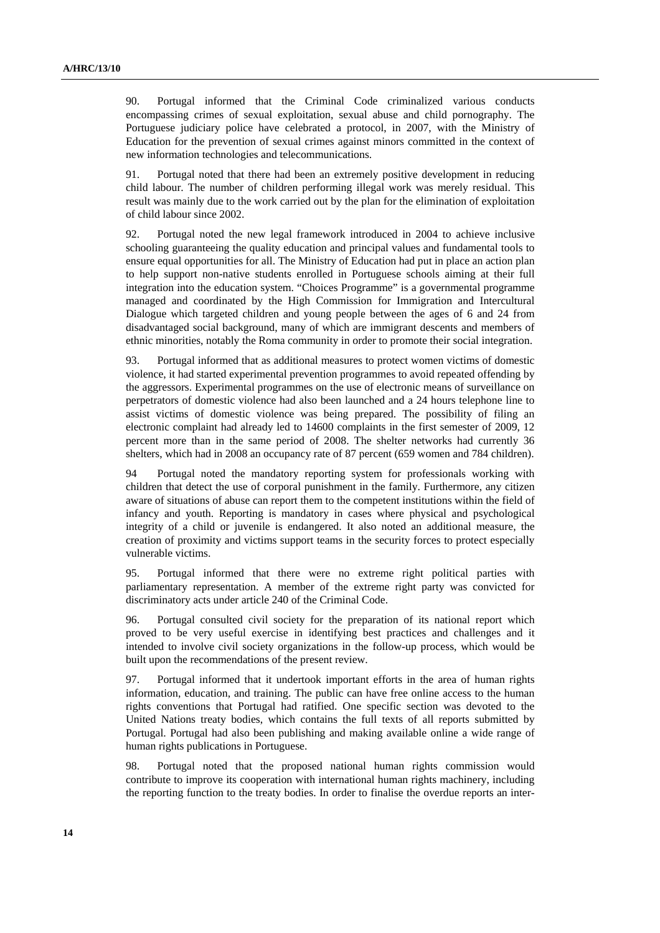90. Portugal informed that the Criminal Code criminalized various conducts encompassing crimes of sexual exploitation, sexual abuse and child pornography. The Portuguese judiciary police have celebrated a protocol, in 2007, with the Ministry of Education for the prevention of sexual crimes against minors committed in the context of new information technologies and telecommunications.

91. Portugal noted that there had been an extremely positive development in reducing child labour. The number of children performing illegal work was merely residual. This result was mainly due to the work carried out by the plan for the elimination of exploitation of child labour since 2002.

92. Portugal noted the new legal framework introduced in 2004 to achieve inclusive schooling guaranteeing the quality education and principal values and fundamental tools to ensure equal opportunities for all. The Ministry of Education had put in place an action plan to help support non-native students enrolled in Portuguese schools aiming at their full integration into the education system. "Choices Programme" is a governmental programme managed and coordinated by the High Commission for Immigration and Intercultural Dialogue which targeted children and young people between the ages of 6 and 24 from disadvantaged social background, many of which are immigrant descents and members of ethnic minorities, notably the Roma community in order to promote their social integration.

93. Portugal informed that as additional measures to protect women victims of domestic violence, it had started experimental prevention programmes to avoid repeated offending by the aggressors. Experimental programmes on the use of electronic means of surveillance on perpetrators of domestic violence had also been launched and a 24 hours telephone line to assist victims of domestic violence was being prepared. The possibility of filing an electronic complaint had already led to 14600 complaints in the first semester of 2009, 12 percent more than in the same period of 2008. The shelter networks had currently 36 shelters, which had in 2008 an occupancy rate of 87 percent (659 women and 784 children).

94 Portugal noted the mandatory reporting system for professionals working with children that detect the use of corporal punishment in the family. Furthermore, any citizen aware of situations of abuse can report them to the competent institutions within the field of infancy and youth. Reporting is mandatory in cases where physical and psychological integrity of a child or juvenile is endangered. It also noted an additional measure, the creation of proximity and victims support teams in the security forces to protect especially vulnerable victims.

95. Portugal informed that there were no extreme right political parties with parliamentary representation. A member of the extreme right party was convicted for discriminatory acts under article 240 of the Criminal Code.

96. Portugal consulted civil society for the preparation of its national report which proved to be very useful exercise in identifying best practices and challenges and it intended to involve civil society organizations in the follow-up process, which would be built upon the recommendations of the present review.

97. Portugal informed that it undertook important efforts in the area of human rights information, education, and training. The public can have free online access to the human rights conventions that Portugal had ratified. One specific section was devoted to the United Nations treaty bodies, which contains the full texts of all reports submitted by Portugal. Portugal had also been publishing and making available online a wide range of human rights publications in Portuguese.

98. Portugal noted that the proposed national human rights commission would contribute to improve its cooperation with international human rights machinery, including the reporting function to the treaty bodies. In order to finalise the overdue reports an inter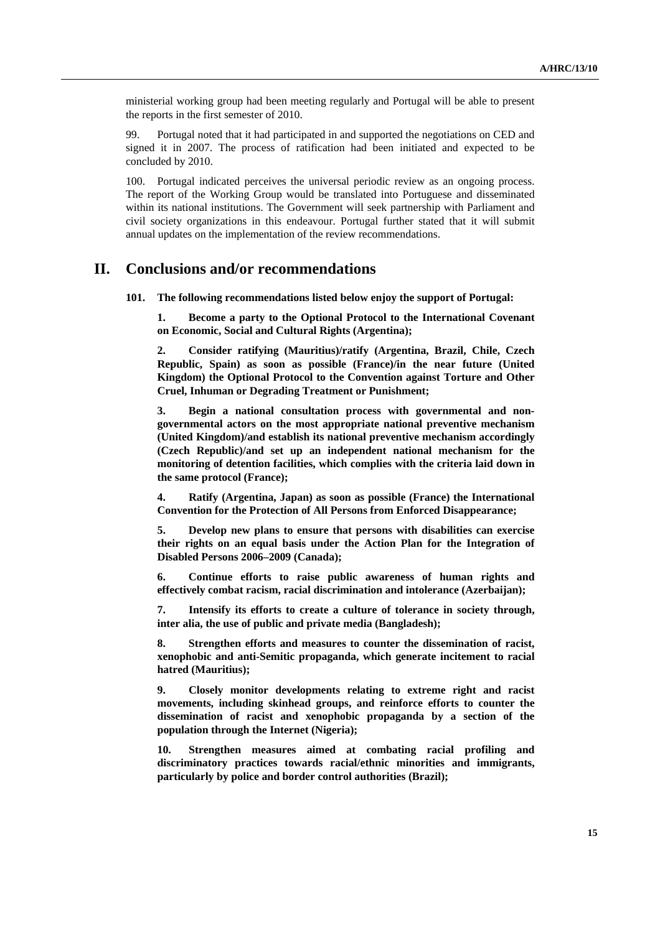ministerial working group had been meeting regularly and Portugal will be able to present the reports in the first semester of 2010.

99. Portugal noted that it had participated in and supported the negotiations on CED and signed it in 2007. The process of ratification had been initiated and expected to be concluded by 2010.

100. Portugal indicated perceives the universal periodic review as an ongoing process. The report of the Working Group would be translated into Portuguese and disseminated within its national institutions. The Government will seek partnership with Parliament and civil society organizations in this endeavour. Portugal further stated that it will submit annual updates on the implementation of the review recommendations.

### **II. Conclusions and/or recommendations**

**101. The following recommendations listed below enjoy the support of Portugal:** 

**1. Become a party to the Optional Protocol to the International Covenant on Economic, Social and Cultural Rights (Argentina);** 

**2. Consider ratifying (Mauritius)/ratify (Argentina, Brazil, Chile, Czech Republic, Spain) as soon as possible (France)/in the near future (United Kingdom) the Optional Protocol to the Convention against Torture and Other Cruel, Inhuman or Degrading Treatment or Punishment;** 

**3. Begin a national consultation process with governmental and nongovernmental actors on the most appropriate national preventive mechanism (United Kingdom)/and establish its national preventive mechanism accordingly (Czech Republic)/and set up an independent national mechanism for the monitoring of detention facilities, which complies with the criteria laid down in the same protocol (France);** 

**4. Ratify (Argentina, Japan) as soon as possible (France) the International Convention for the Protection of All Persons from Enforced Disappearance;** 

**5. Develop new plans to ensure that persons with disabilities can exercise their rights on an equal basis under the Action Plan for the Integration of Disabled Persons 2006–2009 (Canada);** 

**6. Continue efforts to raise public awareness of human rights and effectively combat racism, racial discrimination and intolerance (Azerbaijan);** 

**7. Intensify its efforts to create a culture of tolerance in society through, inter alia, the use of public and private media (Bangladesh);** 

**8. Strengthen efforts and measures to counter the dissemination of racist, xenophobic and anti-Semitic propaganda, which generate incitement to racial hatred (Mauritius);** 

**9. Closely monitor developments relating to extreme right and racist movements, including skinhead groups, and reinforce efforts to counter the dissemination of racist and xenophobic propaganda by a section of the population through the Internet (Nigeria);** 

**10. Strengthen measures aimed at combating racial profiling and discriminatory practices towards racial/ethnic minorities and immigrants, particularly by police and border control authorities (Brazil);**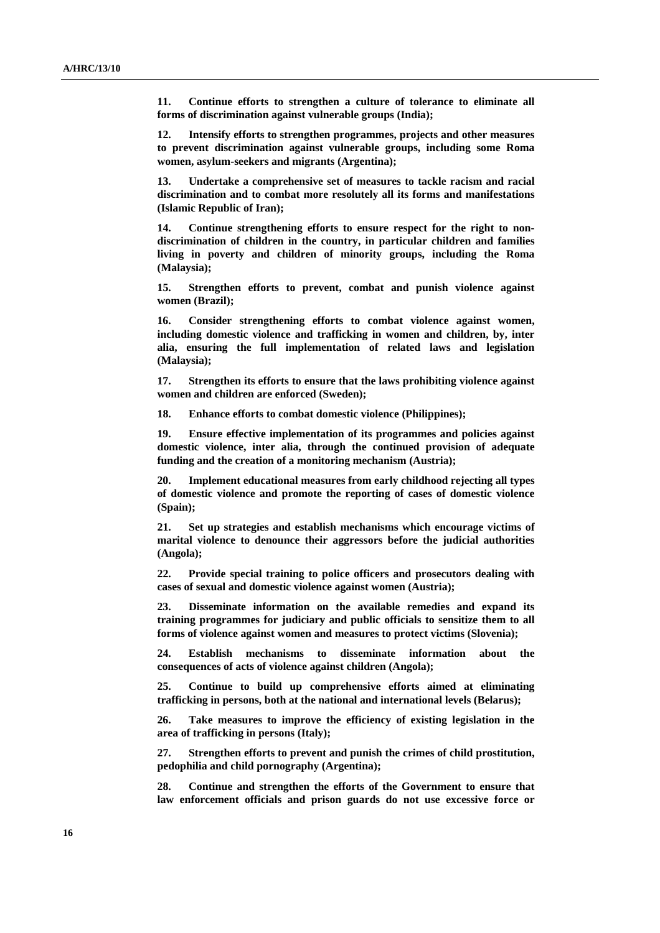**11. Continue efforts to strengthen a culture of tolerance to eliminate all forms of discrimination against vulnerable groups (India);** 

**12. Intensify efforts to strengthen programmes, projects and other measures to prevent discrimination against vulnerable groups, including some Roma women, asylum-seekers and migrants (Argentina);** 

**13. Undertake a comprehensive set of measures to tackle racism and racial discrimination and to combat more resolutely all its forms and manifestations (Islamic Republic of Iran);** 

**14. Continue strengthening efforts to ensure respect for the right to nondiscrimination of children in the country, in particular children and families living in poverty and children of minority groups, including the Roma (Malaysia);** 

**15. Strengthen efforts to prevent, combat and punish violence against women (Brazil);** 

**16. Consider strengthening efforts to combat violence against women, including domestic violence and trafficking in women and children, by, inter alia, ensuring the full implementation of related laws and legislation (Malaysia);** 

**17. Strengthen its efforts to ensure that the laws prohibiting violence against women and children are enforced (Sweden);** 

**18. Enhance efforts to combat domestic violence (Philippines);** 

**19. Ensure effective implementation of its programmes and policies against domestic violence, inter alia, through the continued provision of adequate funding and the creation of a monitoring mechanism (Austria);** 

**20. Implement educational measures from early childhood rejecting all types of domestic violence and promote the reporting of cases of domestic violence (Spain);** 

**21. Set up strategies and establish mechanisms which encourage victims of marital violence to denounce their aggressors before the judicial authorities (Angola);** 

**22. Provide special training to police officers and prosecutors dealing with cases of sexual and domestic violence against women (Austria);** 

**23. Disseminate information on the available remedies and expand its training programmes for judiciary and public officials to sensitize them to all forms of violence against women and measures to protect victims (Slovenia);** 

**24. Establish mechanisms to disseminate information about the consequences of acts of violence against children (Angola);** 

**25. Continue to build up comprehensive efforts aimed at eliminating trafficking in persons, both at the national and international levels (Belarus);** 

**26. Take measures to improve the efficiency of existing legislation in the area of trafficking in persons (Italy);** 

**27. Strengthen efforts to prevent and punish the crimes of child prostitution, pedophilia and child pornography (Argentina);** 

**28. Continue and strengthen the efforts of the Government to ensure that law enforcement officials and prison guards do not use excessive force or**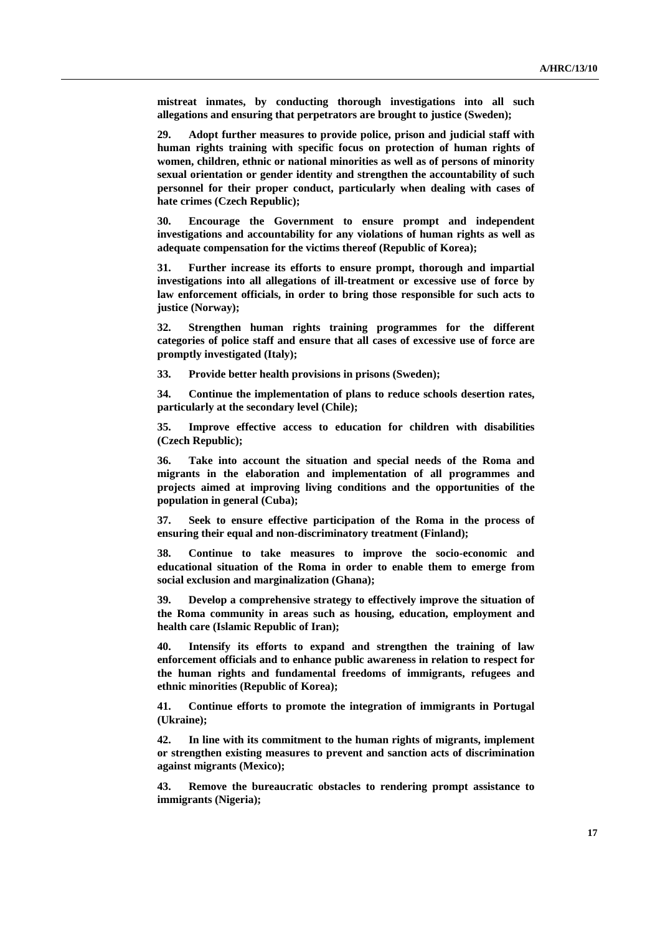**mistreat inmates, by conducting thorough investigations into all such allegations and ensuring that perpetrators are brought to justice (Sweden);** 

**29. Adopt further measures to provide police, prison and judicial staff with human rights training with specific focus on protection of human rights of women, children, ethnic or national minorities as well as of persons of minority sexual orientation or gender identity and strengthen the accountability of such personnel for their proper conduct, particularly when dealing with cases of hate crimes (Czech Republic);** 

**30. Encourage the Government to ensure prompt and independent investigations and accountability for any violations of human rights as well as adequate compensation for the victims thereof (Republic of Korea);** 

**31. Further increase its efforts to ensure prompt, thorough and impartial investigations into all allegations of ill-treatment or excessive use of force by law enforcement officials, in order to bring those responsible for such acts to justice (Norway);** 

**32. Strengthen human rights training programmes for the different categories of police staff and ensure that all cases of excessive use of force are promptly investigated (Italy);** 

**33. Provide better health provisions in prisons (Sweden);** 

**34. Continue the implementation of plans to reduce schools desertion rates, particularly at the secondary level (Chile);** 

**35. Improve effective access to education for children with disabilities (Czech Republic);** 

**36. Take into account the situation and special needs of the Roma and migrants in the elaboration and implementation of all programmes and projects aimed at improving living conditions and the opportunities of the population in general (Cuba);** 

**37. Seek to ensure effective participation of the Roma in the process of ensuring their equal and non-discriminatory treatment (Finland);** 

**38. Continue to take measures to improve the socio-economic and educational situation of the Roma in order to enable them to emerge from social exclusion and marginalization (Ghana);** 

**39. Develop a comprehensive strategy to effectively improve the situation of the Roma community in areas such as housing, education, employment and health care (Islamic Republic of Iran);** 

**40. Intensify its efforts to expand and strengthen the training of law enforcement officials and to enhance public awareness in relation to respect for the human rights and fundamental freedoms of immigrants, refugees and ethnic minorities (Republic of Korea);** 

**41. Continue efforts to promote the integration of immigrants in Portugal (Ukraine);** 

**42. In line with its commitment to the human rights of migrants, implement or strengthen existing measures to prevent and sanction acts of discrimination against migrants (Mexico);** 

**43. Remove the bureaucratic obstacles to rendering prompt assistance to immigrants (Nigeria);**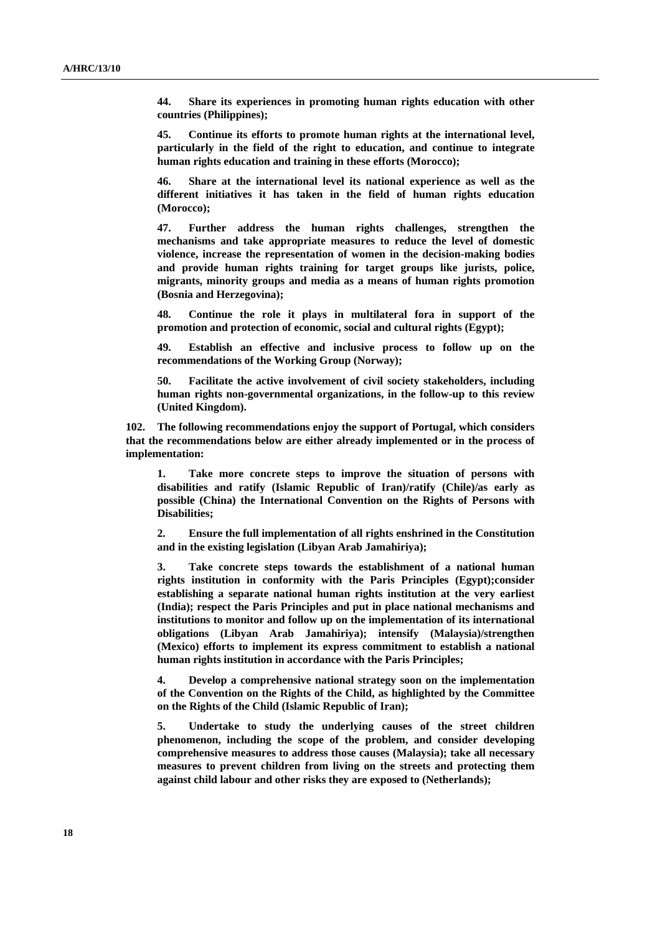**44. Share its experiences in promoting human rights education with other countries (Philippines);** 

**45. Continue its efforts to promote human rights at the international level, particularly in the field of the right to education, and continue to integrate human rights education and training in these efforts (Morocco);** 

**46. Share at the international level its national experience as well as the different initiatives it has taken in the field of human rights education (Morocco);** 

**47. Further address the human rights challenges, strengthen the mechanisms and take appropriate measures to reduce the level of domestic violence, increase the representation of women in the decision-making bodies and provide human rights training for target groups like jurists, police, migrants, minority groups and media as a means of human rights promotion (Bosnia and Herzegovina);** 

**48. Continue the role it plays in multilateral fora in support of the promotion and protection of economic, social and cultural rights (Egypt);** 

**49. Establish an effective and inclusive process to follow up on the recommendations of the Working Group (Norway);** 

**50. Facilitate the active involvement of civil society stakeholders, including human rights non-governmental organizations, in the follow-up to this review (United Kingdom).** 

**102. The following recommendations enjoy the support of Portugal, which considers that the recommendations below are either already implemented or in the process of implementation:** 

**1. Take more concrete steps to improve the situation of persons with disabilities and ratify (Islamic Republic of Iran)/ratify (Chile)/as early as possible (China) the International Convention on the Rights of Persons with Disabilities;** 

**2. Ensure the full implementation of all rights enshrined in the Constitution and in the existing legislation (Libyan Arab Jamahiriya);** 

**3. Take concrete steps towards the establishment of a national human rights institution in conformity with the Paris Principles (Egypt);consider establishing a separate national human rights institution at the very earliest (India); respect the Paris Principles and put in place national mechanisms and institutions to monitor and follow up on the implementation of its international obligations (Libyan Arab Jamahiriya); intensify (Malaysia)/strengthen (Mexico) efforts to implement its express commitment to establish a national human rights institution in accordance with the Paris Principles;** 

**4. Develop a comprehensive national strategy soon on the implementation of the Convention on the Rights of the Child, as highlighted by the Committee on the Rights of the Child (Islamic Republic of Iran);** 

**5. Undertake to study the underlying causes of the street children phenomenon, including the scope of the problem, and consider developing comprehensive measures to address those causes (Malaysia); take all necessary measures to prevent children from living on the streets and protecting them against child labour and other risks they are exposed to (Netherlands);**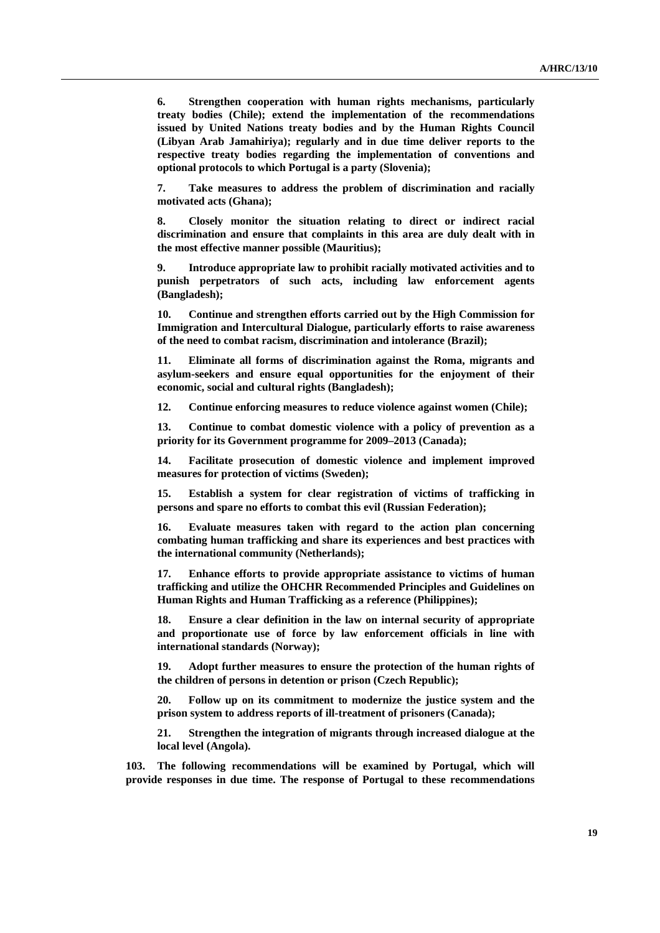**6. Strengthen cooperation with human rights mechanisms, particularly treaty bodies (Chile); extend the implementation of the recommendations issued by United Nations treaty bodies and by the Human Rights Council (Libyan Arab Jamahiriya); regularly and in due time deliver reports to the respective treaty bodies regarding the implementation of conventions and optional protocols to which Portugal is a party (Slovenia);** 

**7. Take measures to address the problem of discrimination and racially motivated acts (Ghana);** 

**8. Closely monitor the situation relating to direct or indirect racial discrimination and ensure that complaints in this area are duly dealt with in the most effective manner possible (Mauritius);** 

**9. Introduce appropriate law to prohibit racially motivated activities and to punish perpetrators of such acts, including law enforcement agents (Bangladesh);** 

**10. Continue and strengthen efforts carried out by the High Commission for Immigration and Intercultural Dialogue, particularly efforts to raise awareness of the need to combat racism, discrimination and intolerance (Brazil);** 

**11. Eliminate all forms of discrimination against the Roma, migrants and asylum-seekers and ensure equal opportunities for the enjoyment of their economic, social and cultural rights (Bangladesh);** 

**12. Continue enforcing measures to reduce violence against women (Chile);** 

**13. Continue to combat domestic violence with a policy of prevention as a priority for its Government programme for 2009–2013 (Canada);** 

**14. Facilitate prosecution of domestic violence and implement improved measures for protection of victims (Sweden);** 

**15. Establish a system for clear registration of victims of trafficking in persons and spare no efforts to combat this evil (Russian Federation);** 

**16. Evaluate measures taken with regard to the action plan concerning combating human trafficking and share its experiences and best practices with the international community (Netherlands);** 

**17. Enhance efforts to provide appropriate assistance to victims of human trafficking and utilize the OHCHR Recommended Principles and Guidelines on Human Rights and Human Trafficking as a reference (Philippines);** 

**18. Ensure a clear definition in the law on internal security of appropriate and proportionate use of force by law enforcement officials in line with international standards (Norway);** 

**19. Adopt further measures to ensure the protection of the human rights of the children of persons in detention or prison (Czech Republic);** 

**20. Follow up on its commitment to modernize the justice system and the prison system to address reports of ill-treatment of prisoners (Canada);** 

**21. Strengthen the integration of migrants through increased dialogue at the local level (Angola).** 

**103. The following recommendations will be examined by Portugal, which will provide responses in due time. The response of Portugal to these recommendations**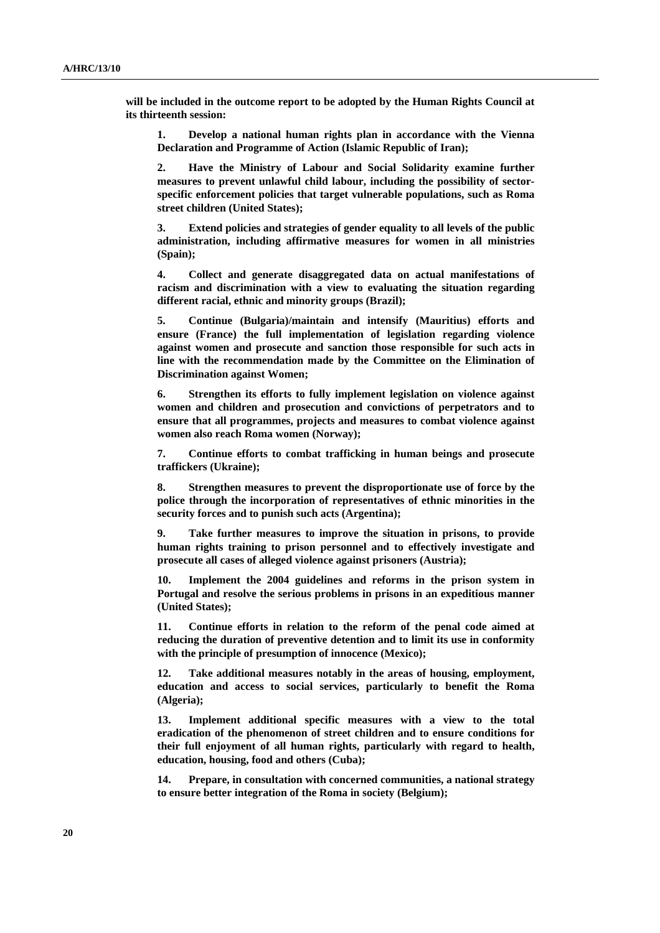**will be included in the outcome report to be adopted by the Human Rights Council at its thirteenth session:** 

**1. Develop a national human rights plan in accordance with the Vienna Declaration and Programme of Action (Islamic Republic of Iran);** 

**2. Have the Ministry of Labour and Social Solidarity examine further measures to prevent unlawful child labour, including the possibility of sectorspecific enforcement policies that target vulnerable populations, such as Roma street children (United States);** 

**3. Extend policies and strategies of gender equality to all levels of the public administration, including affirmative measures for women in all ministries (Spain);** 

**4. Collect and generate disaggregated data on actual manifestations of racism and discrimination with a view to evaluating the situation regarding different racial, ethnic and minority groups (Brazil);** 

**5. Continue (Bulgaria)/maintain and intensify (Mauritius) efforts and ensure (France) the full implementation of legislation regarding violence against women and prosecute and sanction those responsible for such acts in line with the recommendation made by the Committee on the Elimination of Discrimination against Women;** 

**6. Strengthen its efforts to fully implement legislation on violence against women and children and prosecution and convictions of perpetrators and to ensure that all programmes, projects and measures to combat violence against women also reach Roma women (Norway);** 

**7. Continue efforts to combat trafficking in human beings and prosecute traffickers (Ukraine);** 

**8. Strengthen measures to prevent the disproportionate use of force by the police through the incorporation of representatives of ethnic minorities in the security forces and to punish such acts (Argentina);** 

**9. Take further measures to improve the situation in prisons, to provide human rights training to prison personnel and to effectively investigate and prosecute all cases of alleged violence against prisoners (Austria);** 

**10. Implement the 2004 guidelines and reforms in the prison system in Portugal and resolve the serious problems in prisons in an expeditious manner (United States);** 

**11. Continue efforts in relation to the reform of the penal code aimed at reducing the duration of preventive detention and to limit its use in conformity with the principle of presumption of innocence (Mexico);** 

**12. Take additional measures notably in the areas of housing, employment, education and access to social services, particularly to benefit the Roma (Algeria);** 

**13. Implement additional specific measures with a view to the total eradication of the phenomenon of street children and to ensure conditions for their full enjoyment of all human rights, particularly with regard to health, education, housing, food and others (Cuba);** 

**14. Prepare, in consultation with concerned communities, a national strategy to ensure better integration of the Roma in society (Belgium);**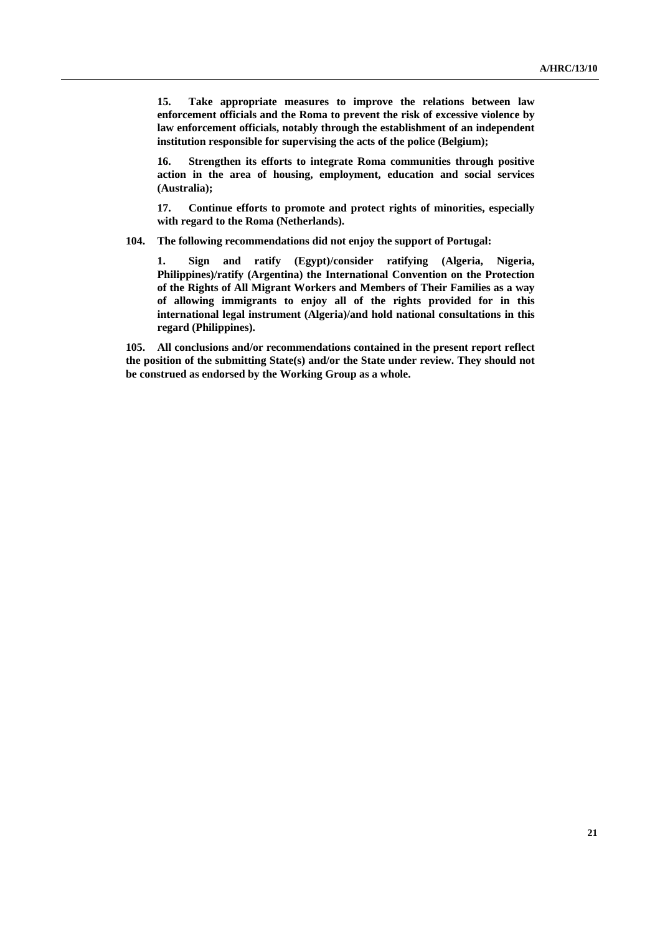**15. Take appropriate measures to improve the relations between law enforcement officials and the Roma to prevent the risk of excessive violence by law enforcement officials, notably through the establishment of an independent institution responsible for supervising the acts of the police (Belgium);** 

**16. Strengthen its efforts to integrate Roma communities through positive action in the area of housing, employment, education and social services (Australia);** 

**17. Continue efforts to promote and protect rights of minorities, especially with regard to the Roma (Netherlands).** 

**104. The following recommendations did not enjoy the support of Portugal:** 

**1. Sign and ratify (Egypt)/consider ratifying (Algeria, Nigeria, Philippines)/ratify (Argentina) the International Convention on the Protection of the Rights of All Migrant Workers and Members of Their Families as a way of allowing immigrants to enjoy all of the rights provided for in this international legal instrument (Algeria)/and hold national consultations in this regard (Philippines).** 

**105. All conclusions and/or recommendations contained in the present report reflect the position of the submitting State(s) and/or the State under review. They should not be construed as endorsed by the Working Group as a whole.**